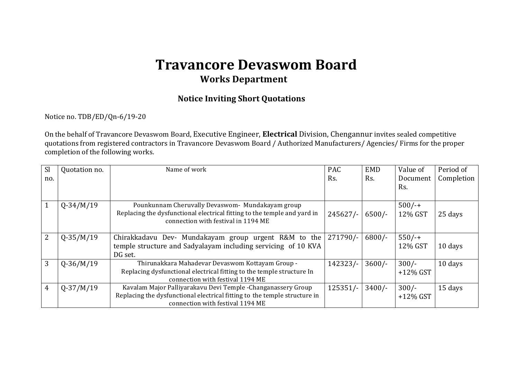## **Travancore Devaswom Board Works Department**

## **Notice Inviting Short Quotations**

Notice no. TDB/ED/Qn-6/19-20

On the behalf of Travancore Devaswom Board, Executive Engineer, **Electrical** Division, Chengannur invites sealed competitive quotations from registered contractors in Travancore Devaswom Board / Authorized Manufacturers/ Agencies/ Firms for the proper completion of the following works.

| <b>Sl</b>    | Quotation no. | Name of work                                                                                                                                                                   | <b>PAC</b> | <b>EMD</b> | Value of               | Period of  |
|--------------|---------------|--------------------------------------------------------------------------------------------------------------------------------------------------------------------------------|------------|------------|------------------------|------------|
| no.          |               |                                                                                                                                                                                | Rs.        | Rs.        | Document<br>Rs.        | Completion |
| $\mathbf{1}$ | $Q - 34/M/19$ | Pounkunnam Cheruvally Devaswom- Mundakayam group<br>Replacing the dysfunctional electrical fitting to the temple and yard in<br>connection with festival in 1194 ME            | $245627/-$ | $6500/-$   | $500/-$<br>12% GST     | 25 days    |
| 2            | $Q-35/M/19$   | Chirakkadavu Dev- Mundakayam group urgent R&M to the<br>temple structure and Sadyalayam including servicing of 10 KVA<br>DG set.                                               | $271790/-$ | $6800/-$   | $550/-$<br>12% GST     | 10 days    |
| 3            | $Q-36/M/19$   | Thirunakkara Mahadevar Devaswom Kottayam Group -<br>Replacing dysfunctional electrical fitting to the temple structure In<br>connection with festival 1194 ME                  | 142323/-   | $3600/-$   | $300/-$<br>$+12\%$ GST | 10 days    |
| 4            | $Q-37/M/19$   | Kavalam Major Palliyarakavu Devi Temple - Changanassery Group<br>Replacing the dysfunctional electrical fitting to the temple structure in<br>connection with festival 1194 ME | $125351/-$ | $3400/-$   | $300/-$<br>$+12\%$ GST | 15 days    |